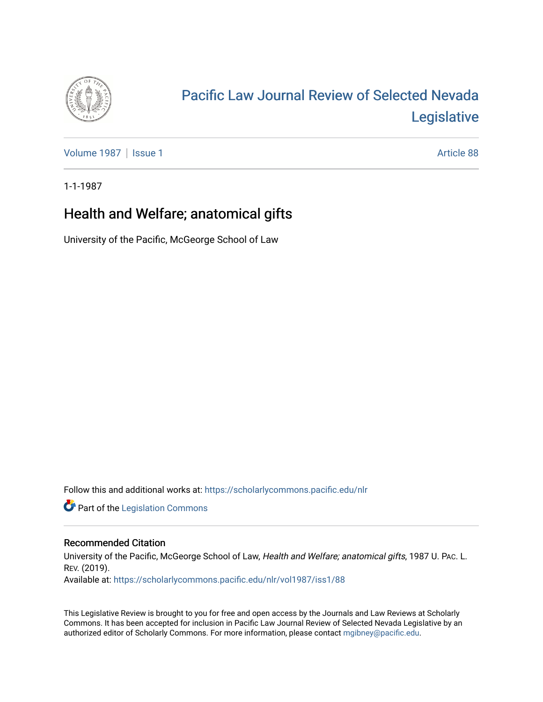

## [Pacific Law Journal Review of Selected Nevada](https://scholarlycommons.pacific.edu/nlr)  [Legislative](https://scholarlycommons.pacific.edu/nlr)

[Volume 1987](https://scholarlycommons.pacific.edu/nlr/vol1987) | [Issue 1](https://scholarlycommons.pacific.edu/nlr/vol1987/iss1) Article 88

1-1-1987

## Health and Welfare; anatomical gifts

University of the Pacific, McGeorge School of Law

Follow this and additional works at: [https://scholarlycommons.pacific.edu/nlr](https://scholarlycommons.pacific.edu/nlr?utm_source=scholarlycommons.pacific.edu%2Fnlr%2Fvol1987%2Fiss1%2F88&utm_medium=PDF&utm_campaign=PDFCoverPages) 

**Part of the [Legislation Commons](http://network.bepress.com/hgg/discipline/859?utm_source=scholarlycommons.pacific.edu%2Fnlr%2Fvol1987%2Fiss1%2F88&utm_medium=PDF&utm_campaign=PDFCoverPages)** 

## Recommended Citation

University of the Pacific, McGeorge School of Law, Health and Welfare; anatomical gifts, 1987 U. PAc. L. REV. (2019). Available at: [https://scholarlycommons.pacific.edu/nlr/vol1987/iss1/88](https://scholarlycommons.pacific.edu/nlr/vol1987/iss1/88?utm_source=scholarlycommons.pacific.edu%2Fnlr%2Fvol1987%2Fiss1%2F88&utm_medium=PDF&utm_campaign=PDFCoverPages)

This Legislative Review is brought to you for free and open access by the Journals and Law Reviews at Scholarly Commons. It has been accepted for inclusion in Pacific Law Journal Review of Selected Nevada Legislative by an authorized editor of Scholarly Commons. For more information, please contact [mgibney@pacific.edu](mailto:mgibney@pacific.edu).